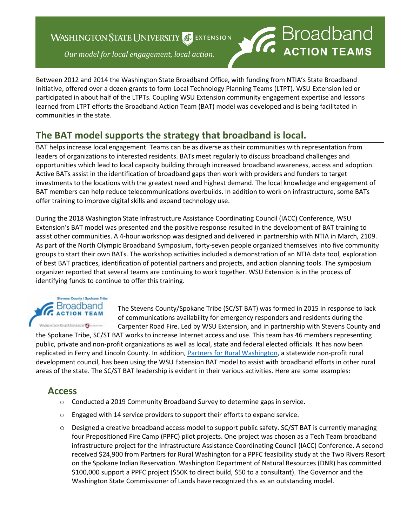### **WASHINGTON STATE UNIVERSITY** SEXTENSION



Between 2012 and 2014 the Washington State Broadband Office, with funding from NTIA's State Broadband Initiative, offered over a dozen grants to form Local Technology Planning Teams (LTPT). WSU Extension led or participated in about half of the LTPTs. Coupling WSU Extension community engagement expertise and lessons learned from LTPT efforts the Broadband Action Team (BAT) model was developed and is being facilitated in communities in the state.

# **The BAT model supports the strategy that broadband is local.**

BAT helps increase local engagement. Teams can be as diverse as their communities with representation from leaders of organizations to interested residents. BATs meet regularly to discuss broadband challenges and opportunities which lead to local capacity building through increased broadband awareness, access and adoption. Active BATs assist in the identification of broadband gaps then work with providers and funders to target investments to the locations with the greatest need and highest demand. The local knowledge and engagement of BAT members can help reduce telecommunications overbuilds. In addition to work on infrastructure, some BATs offer training to improve digital skills and expand technology use.

During the 2018 Washington State Infrastructure Assistance Coordinating Council (IACC) Conference, WSU Extension's BAT model was presented and the positive response resulted in the development of BAT training to assist other communities. A 4-hour workshop was designed and delivered in partnership with NTIA in March, 2109. As part of the North Olympic Broadband Symposium, forty-seven people organized themselves into five community groups to start their own BATs. The workshop activities included a demonstration of an NTIA data tool, exploration of best BAT practices, identification of potential partners and projects, and action planning tools. The symposium organizer reported that several teams are continuing to work together. WSU Extension is in the process of identifying funds to continue to offer this training.



The Stevens County/Spokane Tribe (SC/ST BAT) was formed in 2015 in response to lack of communications availability for emergency responders and residents during the Carpenter Road Fire. Led by WSU Extension, and in partnership with Stevens County and

the Spokane Tribe, SC/ST BAT works to increase Internet access and use. This team has 46 members representing public, private and non-profit organizations as well as local, state and federal elected officials. It has now been replicated in Ferry and Lincoln County. In addition, [Partners for Rural Washington,](http://www.partnersruralwa.org/) a statewide non-profit rural development council, has been using the WSU Extension BAT model to assist with broadband efforts in other rural areas of the state. The SC/ST BAT leadership is evident in their various activities. Here are some examples:

#### **Access**

- o Conducted a 2019 Community Broadband Survey to determine gaps in service.
- o Engaged with 14 service providers to support their efforts to expand service.
- o Designed a creative broadband access model to support public safety. SC/ST BAT is currently managing four Prepositioned Fire Camp (PPFC) pilot projects. One project was chosen as a Tech Team broadband infrastructure project for the Infrastructure Assistance Coordinating Council (IACC) Conference. A second received \$24,900 from Partners for Rural Washington for a PPFC feasibility study at the Two Rivers Resort on the Spokane Indian Reservation. Washington Department of Natural Resources (DNR) has committed \$100,000 support a PPFC project (\$50K to direct build, \$50 to a consultant). The Governor and the Washington State Commissioner of Lands have recognized this as an outstanding model.